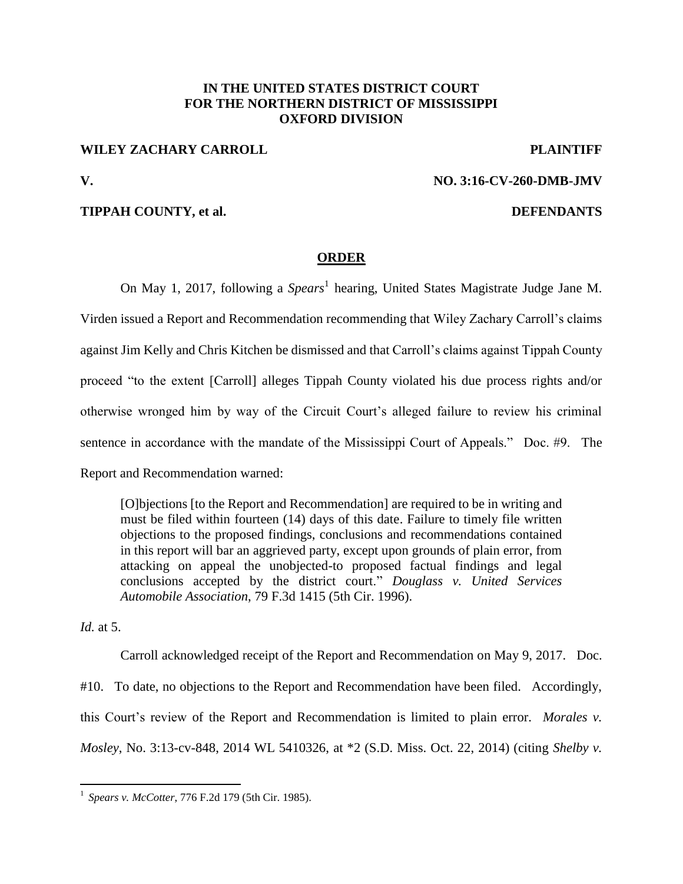## **IN THE UNITED STATES DISTRICT COURT FOR THE NORTHERN DISTRICT OF MISSISSIPPI OXFORD DIVISION**

## **WILEY ZACHARY CARROLL PLAINTIFF**

# **V. NO. 3:16-CV-260-DMB-JMV**

### **TIPPAH COUNTY, et al. DEFENDANTS**

### **ORDER**

On May 1, 2017, following a *Spears*<sup>1</sup> hearing, United States Magistrate Judge Jane M. Virden issued a Report and Recommendation recommending that Wiley Zachary Carroll's claims against Jim Kelly and Chris Kitchen be dismissed and that Carroll's claims against Tippah County proceed "to the extent [Carroll] alleges Tippah County violated his due process rights and/or otherwise wronged him by way of the Circuit Court's alleged failure to review his criminal sentence in accordance with the mandate of the Mississippi Court of Appeals." Doc. #9. The Report and Recommendation warned:

[O]bjections [to the Report and Recommendation] are required to be in writing and must be filed within fourteen (14) days of this date. Failure to timely file written objections to the proposed findings, conclusions and recommendations contained in this report will bar an aggrieved party, except upon grounds of plain error, from attacking on appeal the unobjected-to proposed factual findings and legal conclusions accepted by the district court." *Douglass v. United Services Automobile Association*, 79 F.3d 1415 (5th Cir. 1996).

*Id.* at 5.

 $\overline{a}$ 

Carroll acknowledged receipt of the Report and Recommendation on May 9, 2017. Doc. #10. To date, no objections to the Report and Recommendation have been filed. Accordingly, this Court's review of the Report and Recommendation is limited to plain error. *Morales v. Mosley*, No. 3:13-cv-848, 2014 WL 5410326, at \*2 (S.D. Miss. Oct. 22, 2014) (citing *Shelby v.* 

<sup>1</sup> *Spears v. McCotter*, 776 F.2d 179 (5th Cir. 1985).